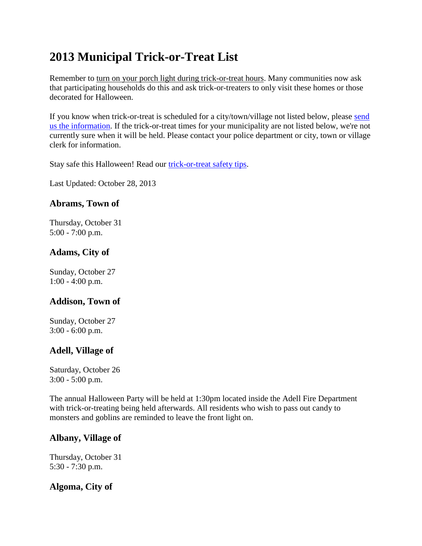# **2013 Municipal Trick-or-Treat List**

Remember to turn on your porch light during trick-or-treat hours. Many communities now ask that participating households do this and ask trick-or-treaters to only visit these homes or those decorated for Halloween.

If you know when trick-or-treat is scheduled for a city/town/village not listed below, please send [us the information.](mailto:jenny@hauntedwisconsin.com) If the trick-or-treat times for your municipality are not listed below, we're not currently sure when it will be held. Please contact your police department or city, town or village clerk for information.

Stay safe this Halloween! Read our [trick-or-treat](http://www.hauntedwisconsin.com/information/trick-or-treat/safety_tips/) safety tips.

Last Updated: October 28, 2013

### **Abrams, Town of**

Thursday, October 31 5:00 - 7:00 p.m.

### **Adams, City of**

Sunday, October 27 1:00 - 4:00 p.m.

# **Addison, Town of**

Sunday, October 27 3:00 - 6:00 p.m.

# **Adell, Village of**

Saturday, October 26 3:00 - 5:00 p.m.

The annual Halloween Party will be held at 1:30pm located inside the Adell Fire Department with trick-or-treating being held afterwards. All residents who wish to pass out candy to monsters and goblins are reminded to leave the front light on.

#### **Albany, Village of**

Thursday, October 31 5:30 - 7:30 p.m.

# **Algoma, City of**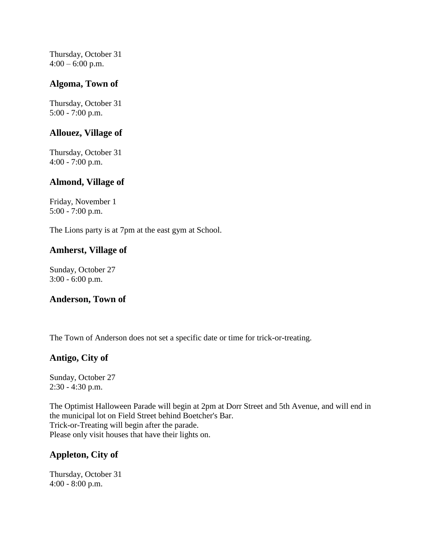Thursday, October 31  $4:00 - 6:00$  p.m.

#### **Algoma, Town of**

Thursday, October 31 5:00 - 7:00 p.m.

#### **Allouez, Village of**

Thursday, October 31 4:00 - 7:00 p.m.

#### **Almond, Village of**

Friday, November 1 5:00 - 7:00 p.m.

The Lions party is at 7pm at the east gym at School.

#### **Amherst, Village of**

Sunday, October 27 3:00 - 6:00 p.m.

#### **Anderson, Town of**

The Town of Anderson does not set a specific date or time for trick-or-treating.

#### **Antigo, City of**

Sunday, October 27 2:30 - 4:30 p.m.

The Optimist Halloween Parade will begin at 2pm at Dorr Street and 5th Avenue, and will end in the municipal lot on Field Street behind Boetcher's Bar. Trick-or-Treating will begin after the parade. Please only visit houses that have their lights on.

# **Appleton, City of**

Thursday, October 31 4:00 - 8:00 p.m.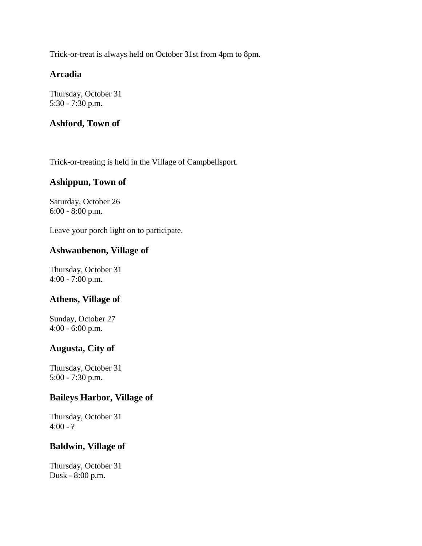Trick-or-treat is always held on October 31st from 4pm to 8pm.

### **Arcadia**

Thursday, October 31 5:30 - 7:30 p.m.

### **Ashford, Town of**

Trick-or-treating is held in the Village of Campbellsport.

#### **Ashippun, Town of**

Saturday, October 26 6:00 - 8:00 p.m.

Leave your porch light on to participate.

#### **Ashwaubenon, Village of**

Thursday, October 31 4:00 - 7:00 p.m.

#### **Athens, Village of**

Sunday, October 27 4:00 - 6:00 p.m.

#### **Augusta, City of**

Thursday, October 31 5:00 - 7:30 p.m.

#### **Baileys Harbor, Village of**

Thursday, October 31  $4:00 - ?$ 

#### **Baldwin, Village of**

Thursday, October 31 Dusk - 8:00 p.m.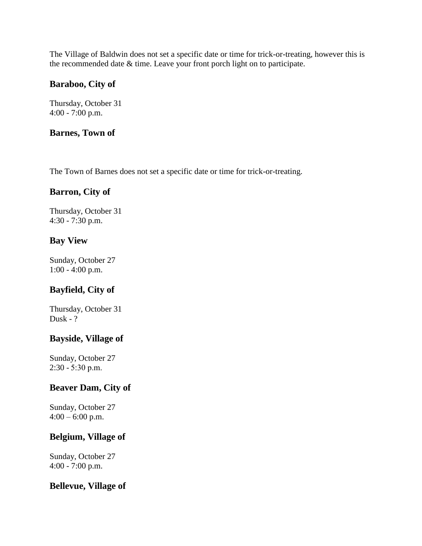The Village of Baldwin does not set a specific date or time for trick-or-treating, however this is the recommended date & time. Leave your front porch light on to participate.

### **Baraboo, City of**

Thursday, October 31 4:00 - 7:00 p.m.

#### **Barnes, Town of**

The Town of Barnes does not set a specific date or time for trick-or-treating.

### **Barron, City of**

Thursday, October 31 4:30 - 7:30 p.m.

### **Bay View**

Sunday, October 27 1:00 - 4:00 p.m.

# **Bayfield, City of**

Thursday, October 31 Dusk - ?

#### **Bayside, Village of**

Sunday, October 27 2:30 - 5:30 p.m.

#### **Beaver Dam, City of**

Sunday, October 27  $4:00 - 6:00$  p.m.

#### **Belgium, Village of**

Sunday, October 27 4:00 - 7:00 p.m.

#### **Bellevue, Village of**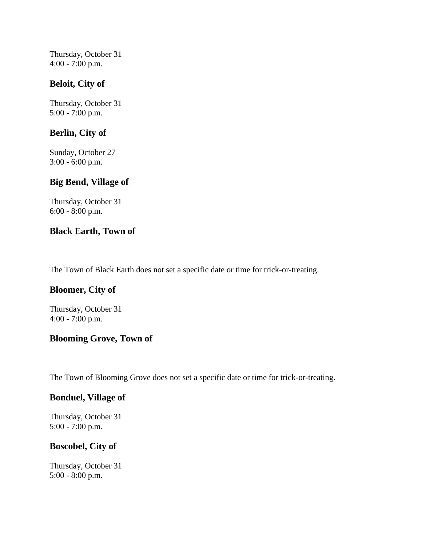Thursday, October 31 4:00 - 7:00 p.m.

### **Beloit, City of**

Thursday, October 31 5:00 - 7:00 p.m.

### **Berlin, City of**

Sunday, October 27 3:00 - 6:00 p.m.

### **Big Bend, Village of**

Thursday, October 31 6:00 - 8:00 p.m.

### **Black Earth, Town of**

The Town of Black Earth does not set a specific date or time for trick-or-treating.

# **Bloomer, City of**

Thursday, October 31 4:00 - 7:00 p.m.

# **Blooming Grove, Town of**

The Town of Blooming Grove does not set a specific date or time for trick-or-treating.

#### **Bonduel, Village of**

Thursday, October 31 5:00 - 7:00 p.m.

#### **Boscobel, City of**

Thursday, October 31 5:00 - 8:00 p.m.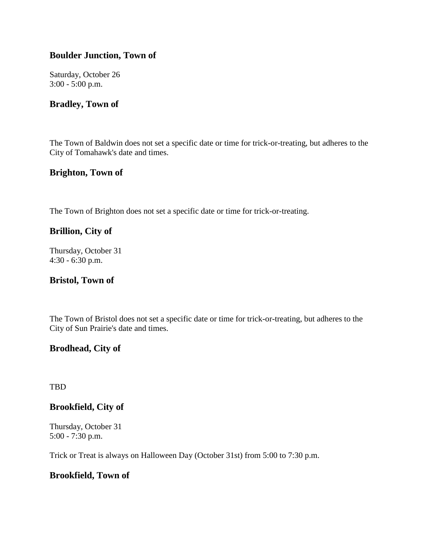### **Boulder Junction, Town of**

Saturday, October 26 3:00 - 5:00 p.m.

#### **Bradley, Town of**

The Town of Baldwin does not set a specific date or time for trick-or-treating, but adheres to the City of Tomahawk's date and times.

#### **Brighton, Town of**

The Town of Brighton does not set a specific date or time for trick-or-treating.

#### **Brillion, City of**

Thursday, October 31 4:30 - 6:30 p.m.

#### **Bristol, Town of**

The Town of Bristol does not set a specific date or time for trick-or-treating, but adheres to the City of Sun Prairie's date and times.

#### **Brodhead, City of**

TBD

#### **Brookfield, City of**

Thursday, October 31 5:00 - 7:30 p.m.

Trick or Treat is always on Halloween Day (October 31st) from 5:00 to 7:30 p.m.

#### **Brookfield, Town of**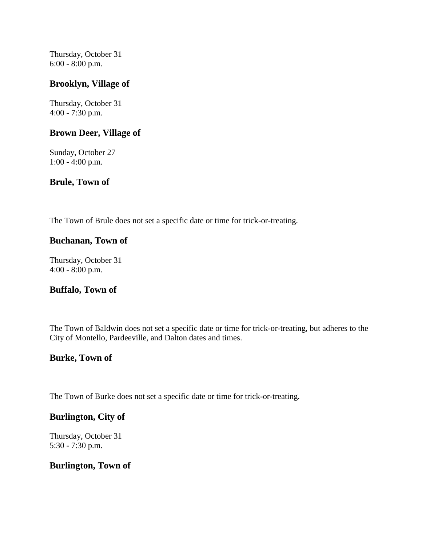Thursday, October 31 6:00 - 8:00 p.m.

#### **Brooklyn, Village of**

Thursday, October 31 4:00 - 7:30 p.m.

#### **Brown Deer, Village of**

Sunday, October 27 1:00 - 4:00 p.m.

#### **Brule, Town of**

The Town of Brule does not set a specific date or time for trick-or-treating.

#### **Buchanan, Town of**

Thursday, October 31 4:00 - 8:00 p.m.

#### **Buffalo, Town of**

The Town of Baldwin does not set a specific date or time for trick-or-treating, but adheres to the City of Montello, Pardeeville, and Dalton dates and times.

#### **Burke, Town of**

The Town of Burke does not set a specific date or time for trick-or-treating.

#### **Burlington, City of**

Thursday, October 31 5:30 - 7:30 p.m.

#### **Burlington, Town of**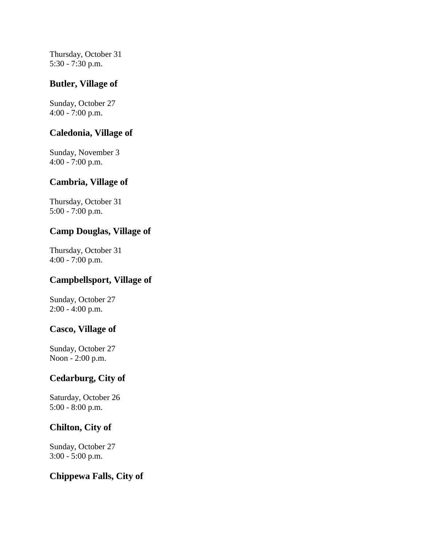Thursday, October 31 5:30 - 7:30 p.m.

#### **Butler, Village of**

Sunday, October 27 4:00 - 7:00 p.m.

#### **Caledonia, Village of**

Sunday, November 3 4:00 - 7:00 p.m.

#### **Cambria, Village of**

Thursday, October 31 5:00 - 7:00 p.m.

#### **Camp Douglas, Village of**

Thursday, October 31 4:00 - 7:00 p.m.

#### **Campbellsport, Village of**

Sunday, October 27 2:00 - 4:00 p.m.

#### **Casco, Village of**

Sunday, October 27 Noon - 2:00 p.m.

#### **Cedarburg, City of**

Saturday, October 26 5:00 - 8:00 p.m.

#### **Chilton, City of**

Sunday, October 27 3:00 - 5:00 p.m.

#### **Chippewa Falls, City of**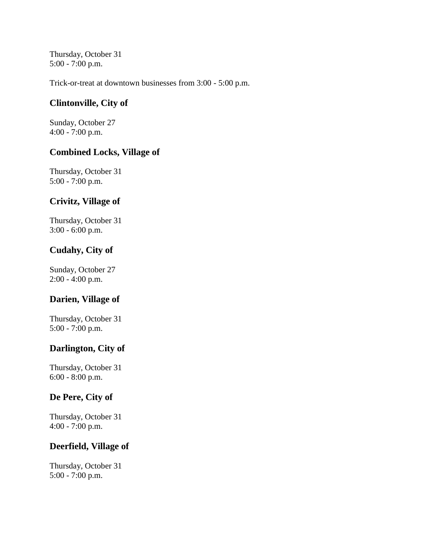Thursday, October 31 5:00 - 7:00 p.m.

Trick-or-treat at downtown businesses from 3:00 - 5:00 p.m.

### **Clintonville, City of**

Sunday, October 27 4:00 - 7:00 p.m.

#### **Combined Locks, Village of**

Thursday, October 31 5:00 - 7:00 p.m.

# **Crivitz, Village of**

Thursday, October 31 3:00 - 6:00 p.m.

### **Cudahy, City of**

Sunday, October 27 2:00 - 4:00 p.m.

# **Darien, Village of**

Thursday, October 31 5:00 - 7:00 p.m.

# **Darlington, City of**

Thursday, October 31 6:00 - 8:00 p.m.

# **De Pere, City of**

Thursday, October 31 4:00 - 7:00 p.m.

#### **Deerfield, Village of**

Thursday, October 31 5:00 - 7:00 p.m.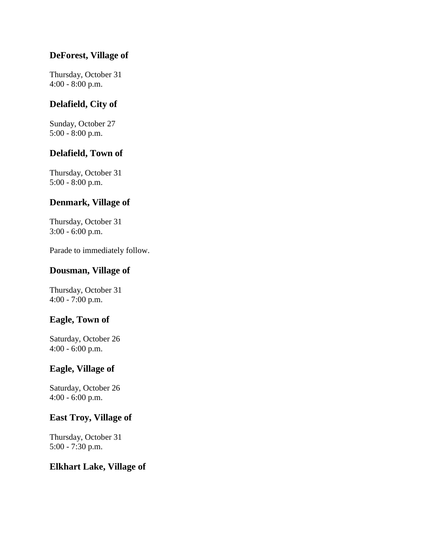### **DeForest, Village of**

Thursday, October 31 4:00 - 8:00 p.m.

### **Delafield, City of**

Sunday, October 27 5:00 - 8:00 p.m.

# **Delafield, Town of**

Thursday, October 31 5:00 - 8:00 p.m.

### **Denmark, Village of**

Thursday, October 31 3:00 - 6:00 p.m.

Parade to immediately follow.

#### **Dousman, Village of**

Thursday, October 31 4:00 - 7:00 p.m.

### **Eagle, Town of**

Saturday, October 26 4:00 - 6:00 p.m.

### **Eagle, Village of**

Saturday, October 26 4:00 - 6:00 p.m.

#### **East Troy, Village of**

Thursday, October 31 5:00 - 7:30 p.m.

#### **Elkhart Lake, Village of**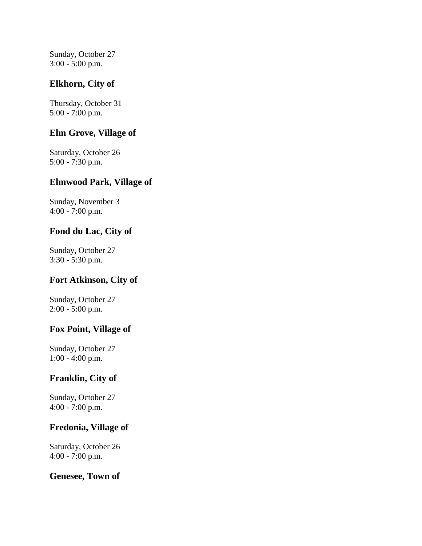Sunday, October 27 3:00 - 5:00 p.m.

# **Elkhorn, City of**

Thursday, October 31 5:00 - 7:00 p.m.

### **Elm Grove, Village of**

Saturday, October 26 5:00 - 7:30 p.m.

#### **Elmwood Park, Village of**

Sunday, November 3 4:00 - 7:00 p.m.

### **Fond du Lac, City of**

Sunday, October 27 3:30 - 5:30 p.m.

# **Fort Atkinson, City of**

Sunday, October 27 2:00 - 5:00 p.m.

# **Fox Point, Village of**

Sunday, October 27 1:00 - 4:00 p.m.

# **Franklin, City of**

Sunday, October 27 4:00 - 7:00 p.m.

### **Fredonia, Village of**

Saturday, October 26 4:00 - 7:00 p.m.

#### **Genesee, Town of**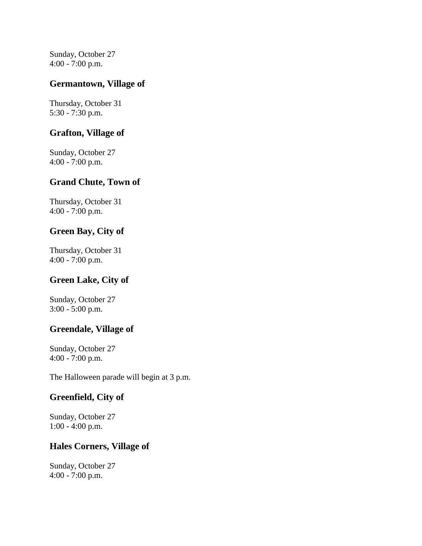Sunday, October 27 4:00 - 7:00 p.m.

#### **Germantown, Village of**

Thursday, October 31 5:30 - 7:30 p.m.

#### **Grafton, Village of**

Sunday, October 27 4:00 - 7:00 p.m.

#### **Grand Chute, Town of**

Thursday, October 31 4:00 - 7:00 p.m.

### **Green Bay, City of**

Thursday, October 31 4:00 - 7:00 p.m.

# **Green Lake, City of**

Sunday, October 27 3:00 - 5:00 p.m.

# **Greendale, Village of**

Sunday, October 27 4:00 - 7:00 p.m.

The Halloween parade will begin at 3 p.m.

# **Greenfield, City of**

Sunday, October 27 1:00 - 4:00 p.m.

#### **Hales Corners, Village of**

Sunday, October 27 4:00 - 7:00 p.m.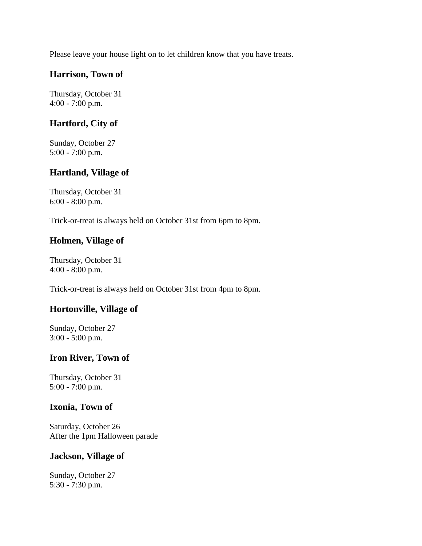Please leave your house light on to let children know that you have treats.

# **Harrison, Town of**

Thursday, October 31 4:00 - 7:00 p.m.

### **Hartford, City of**

Sunday, October 27 5:00 - 7:00 p.m.

### **Hartland, Village of**

Thursday, October 31 6:00 - 8:00 p.m.

Trick-or-treat is always held on October 31st from 6pm to 8pm.

# **Holmen, Village of**

Thursday, October 31 4:00 - 8:00 p.m.

Trick-or-treat is always held on October 31st from 4pm to 8pm.

#### **Hortonville, Village of**

Sunday, October 27 3:00 - 5:00 p.m.

#### **Iron River, Town of**

Thursday, October 31 5:00 - 7:00 p.m.

#### **Ixonia, Town of**

Saturday, October 26 After the 1pm Halloween parade

#### **Jackson, Village of**

Sunday, October 27 5:30 - 7:30 p.m.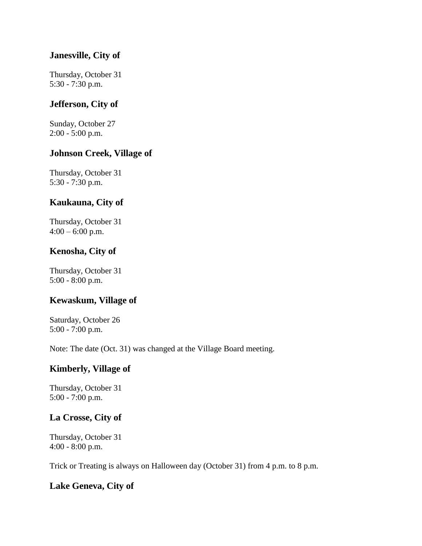#### **Janesville, City of**

Thursday, October 31 5:30 - 7:30 p.m.

#### **Jefferson, City of**

Sunday, October 27 2:00 - 5:00 p.m.

#### **Johnson Creek, Village of**

Thursday, October 31 5:30 - 7:30 p.m.

# **Kaukauna, City of**

Thursday, October 31  $4:00 - 6:00$  p.m.

### **Kenosha, City of**

Thursday, October 31 5:00 - 8:00 p.m.

# **Kewaskum, Village of**

Saturday, October 26 5:00 - 7:00 p.m.

Note: The date (Oct. 31) was changed at the Village Board meeting.

#### **Kimberly, Village of**

Thursday, October 31 5:00 - 7:00 p.m.

# **La Crosse, City of**

Thursday, October 31 4:00 - 8:00 p.m.

Trick or Treating is always on Halloween day (October 31) from 4 p.m. to 8 p.m.

#### **Lake Geneva, City of**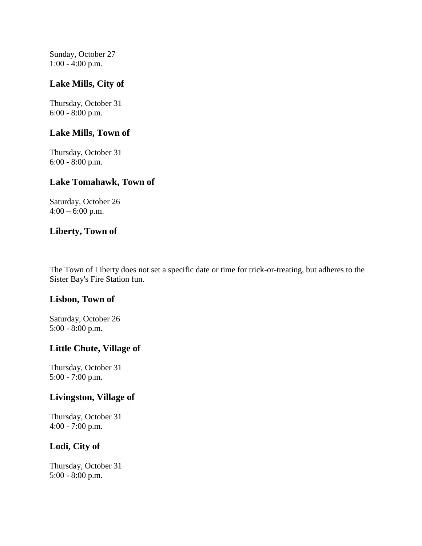Sunday, October 27 1:00 - 4:00 p.m.

### **Lake Mills, City of**

Thursday, October 31 6:00 - 8:00 p.m.

#### **Lake Mills, Town of**

Thursday, October 31 6:00 - 8:00 p.m.

#### **Lake Tomahawk, Town of**

Saturday, October 26  $4:00 - 6:00$  p.m.

#### **Liberty, Town of**

The Town of Liberty does not set a specific date or time for trick-or-treating, but adheres to the Sister Bay's Fire Station fun.

#### **Lisbon, Town of**

Saturday, October 26 5:00 - 8:00 p.m.

#### **Little Chute, Village of**

Thursday, October 31 5:00 - 7:00 p.m.

#### **Livingston, Village of**

Thursday, October 31 4:00 - 7:00 p.m.

#### **Lodi, City of**

Thursday, October 31 5:00 - 8:00 p.m.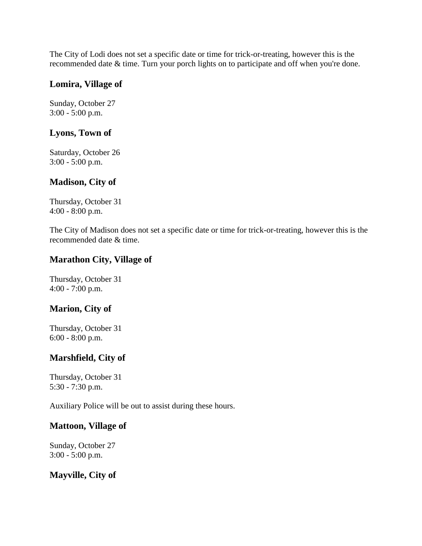The City of Lodi does not set a specific date or time for trick-or-treating, however this is the recommended date & time. Turn your porch lights on to participate and off when you're done.

#### **Lomira, Village of**

Sunday, October 27 3:00 - 5:00 p.m.

### **Lyons, Town of**

Saturday, October 26 3:00 - 5:00 p.m.

#### **Madison, City of**

Thursday, October 31 4:00 - 8:00 p.m.

The City of Madison does not set a specific date or time for trick-or-treating, however this is the recommended date & time.

### **Marathon City, Village of**

Thursday, October 31 4:00 - 7:00 p.m.

# **Marion, City of**

Thursday, October 31 6:00 - 8:00 p.m.

# **Marshfield, City of**

Thursday, October 31 5:30 - 7:30 p.m.

Auxiliary Police will be out to assist during these hours.

#### **Mattoon, Village of**

Sunday, October 27 3:00 - 5:00 p.m.

# **Mayville, City of**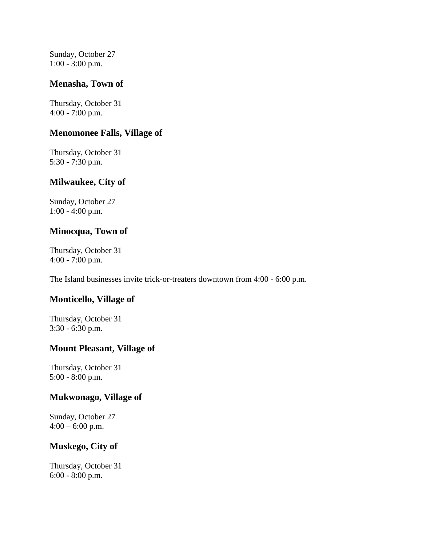Sunday, October 27 1:00 - 3:00 p.m.

#### **Menasha, Town of**

Thursday, October 31 4:00 - 7:00 p.m.

#### **Menomonee Falls, Village of**

Thursday, October 31 5:30 - 7:30 p.m.

#### **Milwaukee, City of**

Sunday, October 27 1:00 - 4:00 p.m.

#### **Minocqua, Town of**

Thursday, October 31 4:00 - 7:00 p.m.

The Island businesses invite trick-or-treaters downtown from 4:00 - 6:00 p.m.

#### **Monticello, Village of**

Thursday, October 31 3:30 - 6:30 p.m.

#### **Mount Pleasant, Village of**

Thursday, October 31 5:00 - 8:00 p.m.

#### **Mukwonago, Village of**

Sunday, October 27  $4:00 - 6:00$  p.m.

#### **Muskego, City of**

Thursday, October 31 6:00 - 8:00 p.m.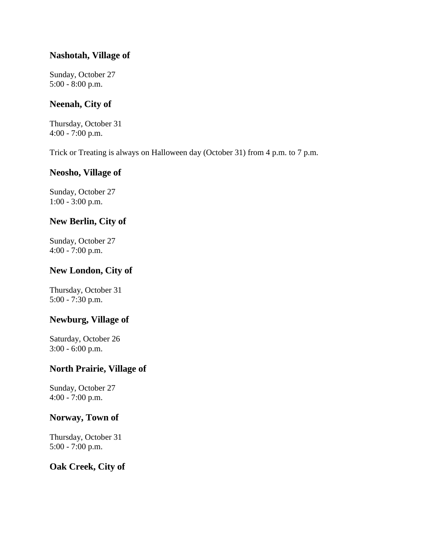#### **Nashotah, Village of**

Sunday, October 27 5:00 - 8:00 p.m.

### **Neenah, City of**

Thursday, October 31 4:00 - 7:00 p.m.

Trick or Treating is always on Halloween day (October 31) from 4 p.m. to 7 p.m.

#### **Neosho, Village of**

Sunday, October 27 1:00 - 3:00 p.m.

### **New Berlin, City of**

Sunday, October 27 4:00 - 7:00 p.m.

### **New London, City of**

Thursday, October 31 5:00 - 7:30 p.m.

### **Newburg, Village of**

Saturday, October 26 3:00 - 6:00 p.m.

### **North Prairie, Village of**

Sunday, October 27 4:00 - 7:00 p.m.

#### **Norway, Town of**

Thursday, October 31 5:00 - 7:00 p.m.

#### **Oak Creek, City of**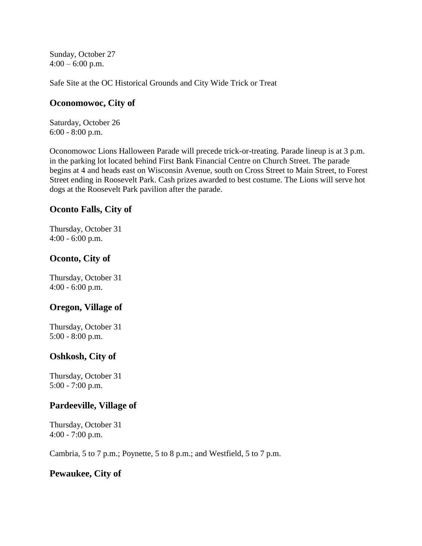Sunday, October 27  $4:00 - 6:00$  p.m.

Safe Site at the OC Historical Grounds and City Wide Trick or Treat

#### **Oconomowoc, City of**

Saturday, October 26 6:00 - 8:00 p.m.

Oconomowoc Lions Halloween Parade will precede trick-or-treating. Parade lineup is at 3 p.m. in the parking lot located behind First Bank Financial Centre on Church Street. The parade begins at 4 and heads east on Wisconsin Avenue, south on Cross Street to Main Street, to Forest Street ending in Roosevelt Park. Cash prizes awarded to best costume. The Lions will serve hot dogs at the Roosevelt Park pavilion after the parade.

#### **Oconto Falls, City of**

Thursday, October 31 4:00 - 6:00 p.m.

### **Oconto, City of**

Thursday, October 31 4:00 - 6:00 p.m.

#### **Oregon, Village of**

Thursday, October 31 5:00 - 8:00 p.m.

#### **Oshkosh, City of**

Thursday, October 31 5:00 - 7:00 p.m.

#### **Pardeeville, Village of**

Thursday, October 31 4:00 - 7:00 p.m.

Cambria, 5 to 7 p.m.; Poynette, 5 to 8 p.m.; and Westfield, 5 to 7 p.m.

#### **Pewaukee, City of**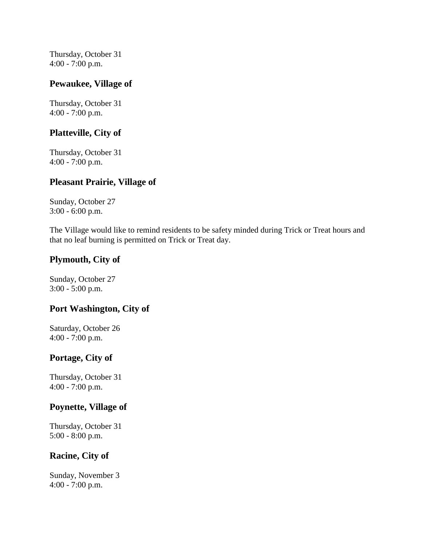Thursday, October 31 4:00 - 7:00 p.m.

#### **Pewaukee, Village of**

Thursday, October 31 4:00 - 7:00 p.m.

#### **Platteville, City of**

Thursday, October 31 4:00 - 7:00 p.m.

#### **Pleasant Prairie, Village of**

Sunday, October 27 3:00 - 6:00 p.m.

The Village would like to remind residents to be safety minded during Trick or Treat hours and that no leaf burning is permitted on Trick or Treat day.

### **Plymouth, City of**

Sunday, October 27 3:00 - 5:00 p.m.

#### **Port Washington, City of**

Saturday, October 26 4:00 - 7:00 p.m.

# **Portage, City of**

Thursday, October 31 4:00 - 7:00 p.m.

#### **Poynette, Village of**

Thursday, October 31 5:00 - 8:00 p.m.

#### **Racine, City of**

Sunday, November 3 4:00 - 7:00 p.m.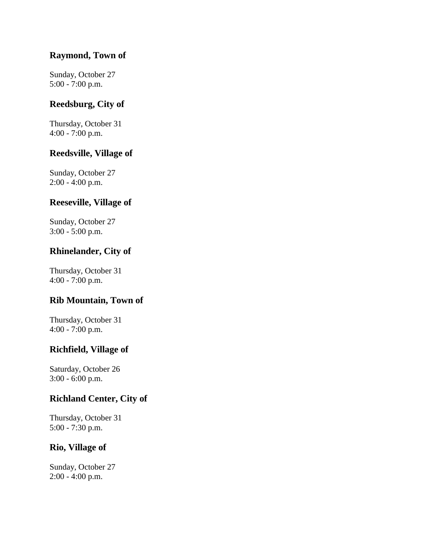### **Raymond, Town of**

Sunday, October 27 5:00 - 7:00 p.m.

### **Reedsburg, City of**

Thursday, October 31 4:00 - 7:00 p.m.

#### **Reedsville, Village of**

Sunday, October 27 2:00 - 4:00 p.m.

# **Reeseville, Village of**

Sunday, October 27 3:00 - 5:00 p.m.

# **Rhinelander, City of**

Thursday, October 31 4:00 - 7:00 p.m.

# **Rib Mountain, Town of**

Thursday, October 31 4:00 - 7:00 p.m.

#### **Richfield, Village of**

Saturday, October 26 3:00 - 6:00 p.m.

#### **Richland Center, City of**

Thursday, October 31 5:00 - 7:30 p.m.

#### **Rio, Village of**

Sunday, October 27 2:00 - 4:00 p.m.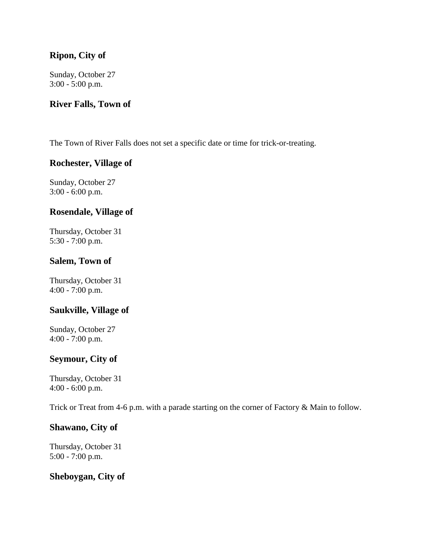### **Ripon, City of**

Sunday, October 27 3:00 - 5:00 p.m.

#### **River Falls, Town of**

The Town of River Falls does not set a specific date or time for trick-or-treating.

#### **Rochester, Village of**

Sunday, October 27 3:00 - 6:00 p.m.

#### **Rosendale, Village of**

Thursday, October 31 5:30 - 7:00 p.m.

#### **Salem, Town of**

Thursday, October 31 4:00 - 7:00 p.m.

#### **Saukville, Village of**

Sunday, October 27 4:00 - 7:00 p.m.

#### **Seymour, City of**

Thursday, October 31 4:00 - 6:00 p.m.

Trick or Treat from 4-6 p.m. with a parade starting on the corner of Factory & Main to follow.

#### **Shawano, City of**

Thursday, October 31 5:00 - 7:00 p.m.

#### **Sheboygan, City of**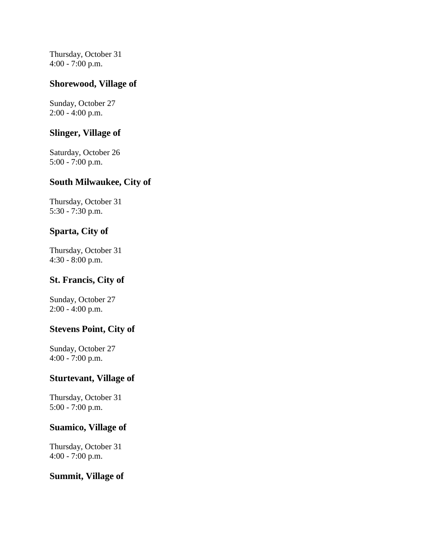Thursday, October 31 4:00 - 7:00 p.m.

### **Shorewood, Village of**

Sunday, October 27 2:00 - 4:00 p.m.

#### **Slinger, Village of**

Saturday, October 26 5:00 - 7:00 p.m.

#### **South Milwaukee, City of**

Thursday, October 31 5:30 - 7:30 p.m.

#### **Sparta, City of**

Thursday, October 31 4:30 - 8:00 p.m.

#### **St. Francis, City of**

Sunday, October 27 2:00 - 4:00 p.m.

#### **Stevens Point, City of**

Sunday, October 27 4:00 - 7:00 p.m.

#### **Sturtevant, Village of**

Thursday, October 31 5:00 - 7:00 p.m.

#### **Suamico, Village of**

Thursday, October 31 4:00 - 7:00 p.m.

#### **Summit, Village of**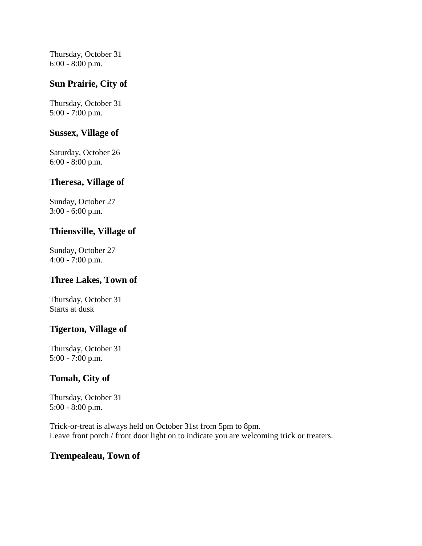Thursday, October 31 6:00 - 8:00 p.m.

### **Sun Prairie, City of**

Thursday, October 31 5:00 - 7:00 p.m.

#### **Sussex, Village of**

Saturday, October 26 6:00 - 8:00 p.m.

#### **Theresa, Village of**

Sunday, October 27 3:00 - 6:00 p.m.

#### **Thiensville, Village of**

Sunday, October 27 4:00 - 7:00 p.m.

#### **Three Lakes, Town of**

Thursday, October 31 Starts at dusk

# **Tigerton, Village of**

Thursday, October 31 5:00 - 7:00 p.m.

# **Tomah, City of**

Thursday, October 31 5:00 - 8:00 p.m.

Trick-or-treat is always held on October 31st from 5pm to 8pm. Leave front porch / front door light on to indicate you are welcoming trick or treaters.

#### **Trempealeau, Town of**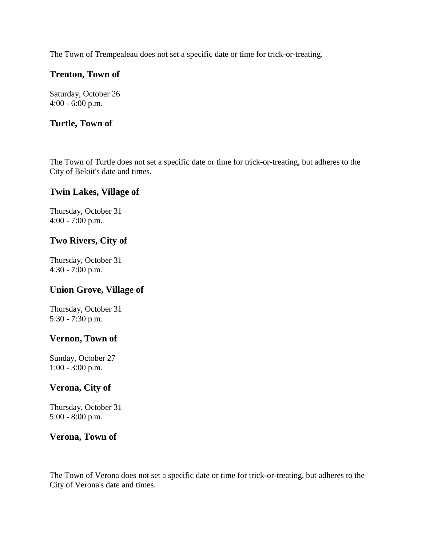The Town of Trempealeau does not set a specific date or time for trick-or-treating.

### **Trenton, Town of**

Saturday, October 26 4:00 - 6:00 p.m.

### **Turtle, Town of**

The Town of Turtle does not set a specific date or time for trick-or-treating, but adheres to the City of Beloit's date and times.

#### **Twin Lakes, Village of**

Thursday, October 31 4:00 - 7:00 p.m.

### **Two Rivers, City of**

Thursday, October 31 4:30 - 7:00 p.m.

#### **Union Grove, Village of**

Thursday, October 31 5:30 - 7:30 p.m.

#### **Vernon, Town of**

Sunday, October 27 1:00 - 3:00 p.m.

#### **Verona, City of**

Thursday, October 31 5:00 - 8:00 p.m.

#### **Verona, Town of**

The Town of Verona does not set a specific date or time for trick-or-treating, but adheres to the City of Verona's date and times.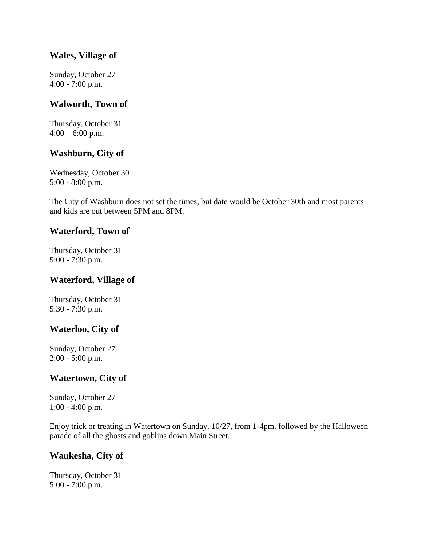#### **Wales, Village of**

Sunday, October 27 4:00 - 7:00 p.m.

#### **Walworth, Town of**

Thursday, October 31  $4:00 - 6:00$  p.m.

### **Washburn, City of**

Wednesday, October 30 5:00 - 8:00 p.m.

The City of Washburn does not set the times, but date would be October 30th and most parents and kids are out between 5PM and 8PM.

#### **Waterford, Town of**

Thursday, October 31 5:00 - 7:30 p.m.

#### **Waterford, Village of**

Thursday, October 31 5:30 - 7:30 p.m.

#### **Waterloo, City of**

Sunday, October 27 2:00 - 5:00 p.m.

# **Watertown, City of**

Sunday, October 27 1:00 - 4:00 p.m.

Enjoy trick or treating in Watertown on Sunday, 10/27, from 1-4pm, followed by the Halloween parade of all the ghosts and goblins down Main Street.

#### **Waukesha, City of**

Thursday, October 31 5:00 - 7:00 p.m.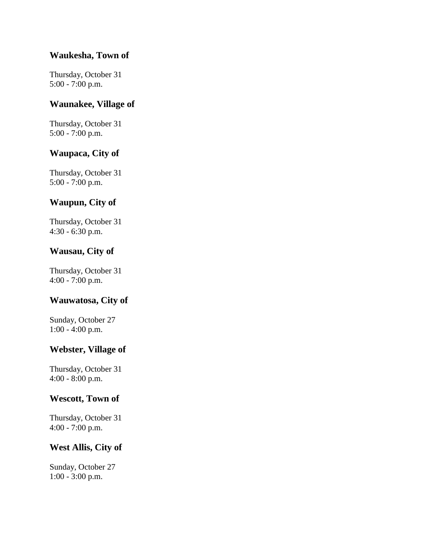### **Waukesha, Town of**

Thursday, October 31 5:00 - 7:00 p.m.

#### **Waunakee, Village of**

Thursday, October 31 5:00 - 7:00 p.m.

### **Waupaca, City of**

Thursday, October 31 5:00 - 7:00 p.m.

# **Waupun, City of**

Thursday, October 31 4:30 - 6:30 p.m.

### **Wausau, City of**

Thursday, October 31 4:00 - 7:00 p.m.

# **Wauwatosa, City of**

Sunday, October 27 1:00 - 4:00 p.m.

#### **Webster, Village of**

Thursday, October 31 4:00 - 8:00 p.m.

#### **Wescott, Town of**

Thursday, October 31 4:00 - 7:00 p.m.

# **West Allis, City of**

Sunday, October 27 1:00 - 3:00 p.m.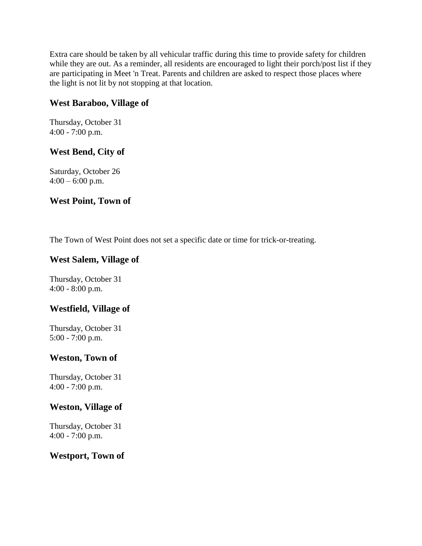Extra care should be taken by all vehicular traffic during this time to provide safety for children while they are out. As a reminder, all residents are encouraged to light their porch/post list if they are participating in Meet 'n Treat. Parents and children are asked to respect those places where the light is not lit by not stopping at that location.

### **West Baraboo, Village of**

Thursday, October 31 4:00 - 7:00 p.m.

# **West Bend, City of**

Saturday, October 26  $4:00 - 6:00$  p.m.

### **West Point, Town of**

The Town of West Point does not set a specific date or time for trick-or-treating.

#### **West Salem, Village of**

Thursday, October 31 4:00 - 8:00 p.m.

# **Westfield, Village of**

Thursday, October 31 5:00 - 7:00 p.m.

#### **Weston, Town of**

Thursday, October 31 4:00 - 7:00 p.m.

#### **Weston, Village of**

Thursday, October 31 4:00 - 7:00 p.m.

#### **Westport, Town of**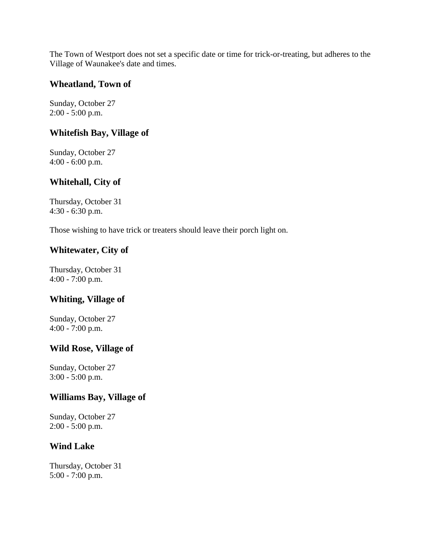The Town of Westport does not set a specific date or time for trick-or-treating, but adheres to the Village of Waunakee's date and times.

#### **Wheatland, Town of**

Sunday, October 27 2:00 - 5:00 p.m.

### **Whitefish Bay, Village of**

Sunday, October 27 4:00 - 6:00 p.m.

### **Whitehall, City of**

Thursday, October 31 4:30 - 6:30 p.m.

Those wishing to have trick or treaters should leave their porch light on.

### **Whitewater, City of**

Thursday, October 31 4:00 - 7:00 p.m.

#### **Whiting, Village of**

Sunday, October 27 4:00 - 7:00 p.m.

#### **Wild Rose, Village of**

Sunday, October 27 3:00 - 5:00 p.m.

#### **Williams Bay, Village of**

Sunday, October 27 2:00 - 5:00 p.m.

#### **Wind Lake**

Thursday, October 31 5:00 - 7:00 p.m.